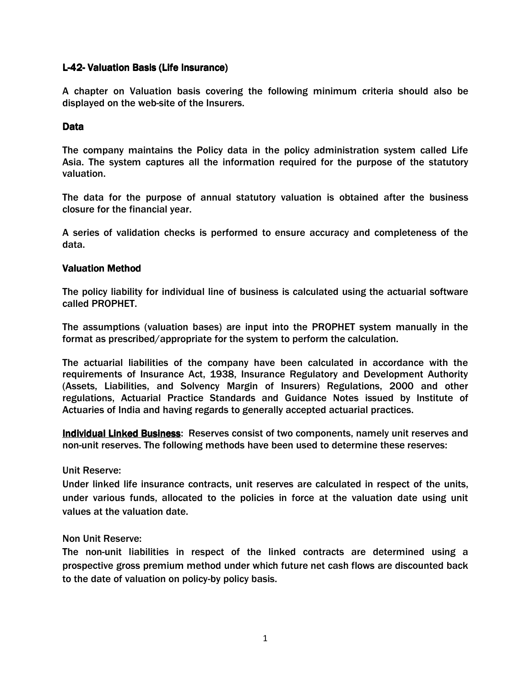# L-42- Valuation Basis (Life Insurance)

A chapter on Valuation basis covering the following minimum criteria should also be displayed on the web-site of the Insurers.

# Data

The company maintains the Policy data in the policy administration system called Life Asia. The system captures all the information required for the purpose of the statutory valuation.

The data for the purpose of annual statutory valuation is obtained after the business closure for the financial year.

A series of validation checks is performed to ensure accuracy and completeness of the data.

# Valuation Method

The policy liability for individual line of business is calculated using the actuarial software called PROPHET.

The assumptions (valuation bases) are input into the PROPHET system manually in the format as prescribed/appropriate for the system to perform the calculation.

The actuarial liabilities of the company have been calculated in accordance with the requirements of Insurance Act, 1938, Insurance Regulatory and Development Authority (Assets, Liabilities, and Solvency Margin of Insurers) Regulations, 2000 and other regulations, Actuarial Practice Standards and Guidance Notes issued by Institute of Actuaries of India and having regards to generally accepted actuarial practices.

Individual Linked Business: Reserves consist of two components, namely unit reserves and non-unit reserves. The following methods have been used to determine these reserves:

Unit Reserve:

Under linked life insurance contracts, unit reserves are calculated in respect of the units, under various funds, allocated to the policies in force at the valuation date using unit values at the valuation date.

Non Unit Reserve:

The non-unit liabilities in respect of the linked contracts are determined using a prospective gross premium method under which future net cash flows are discounted back to the date of valuation on policy-by policy basis.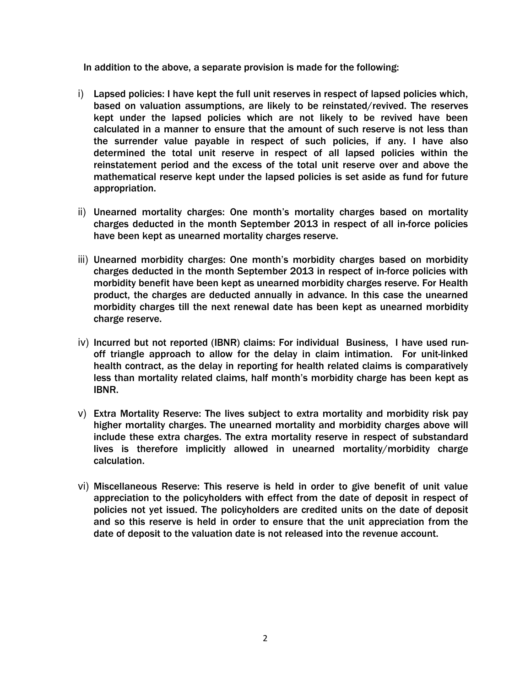In addition to the above, a separate provision is made for the following:

- i) Lapsed policies: I have kept the full unit reserves in respect of lapsed policies which, based on valuation assumptions, are likely to be reinstated/revived. The reserves kept under the lapsed policies which are not likely to be revived have been calculated in a manner to ensure that the amount of such reserve is not less than the surrender value payable in respect of such policies, if any. I have also determined the total unit reserve in respect of all lapsed policies within the reinstatement period and the excess of the total unit reserve over and above the mathematical reserve kept under the lapsed policies is set aside as fund for future appropriation.
- ii) Unearned mortality charges: One month's mortality charges based on mortality charges deducted in the month September 2013 in respect of all in-force policies have been kept as unearned mortality charges reserve.
- iii) Unearned morbidity charges: One month's morbidity charges based on morbidity charges deducted in the month September 2013 in respect of in-force policies with morbidity benefit have been kept as unearned morbidity charges reserve. For Health product, the charges are deducted annually in advance. In this case the unearned morbidity charges till the next renewal date has been kept as unearned morbidity charge reserve.
- iv) Incurred but not reported (IBNR) claims: For individual Business, I have used runoff triangle approach to allow for the delay in claim intimation. For unit-linked health contract, as the delay in reporting for health related claims is comparatively less than mortality related claims, half month's morbidity charge has been kept as IBNR.
- v) Extra Mortality Reserve: The lives subject to extra mortality and morbidity risk pay higher mortality charges. The unearned mortality and morbidity charges above will include these extra charges. The extra mortality reserve in respect of substandard lives is therefore implicitly allowed in unearned mortality/morbidity charge calculation.
- vi) Miscellaneous Reserve: This reserve is held in order to give benefit of unit value appreciation to the policyholders with effect from the date of deposit in respect of policies not yet issued. The policyholders are credited units on the date of deposit and so this reserve is held in order to ensure that the unit appreciation from the date of deposit to the valuation date is not released into the revenue account.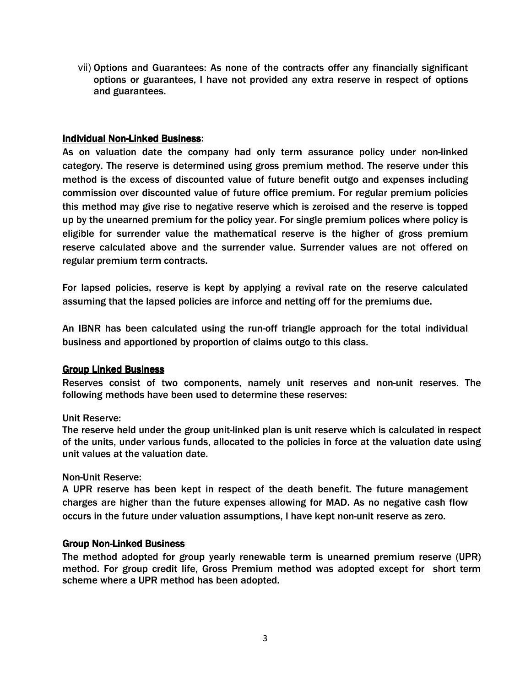vii) Options and Guarantees: As none of the contracts offer any financially significant options or guarantees, I have not provided any extra reserve in respect of options and guarantees.

# **Individual Non-Linked Business:**

As on valuation date the company had only term assurance policy under non-linked category. The reserve is determined using gross premium method. The reserve under this method is the excess of discounted value of future benefit outgo and expenses including commission over discounted value of future office premium. For regular premium policies this method may give rise to negative reserve which is zeroised and the reserve is topped up by the unearned premium for the policy year. For single premium polices where policy is eligible for surrender value the mathematical reserve is the higher of gross premium reserve calculated above and the surrender value. Surrender values are not offered on regular premium term contracts.

For lapsed policies, reserve is kept by applying a revival rate on the reserve calculated assuming that the lapsed policies are inforce and netting off for the premiums due.

An IBNR has been calculated using the run-off triangle approach for the total individual business and apportioned by proportion of claims outgo to this class.

### Group Linked Business

Reserves consist of two components, namely unit reserves and non-unit reserves. The following methods have been used to determine these reserves:

### Unit Reserve:

The reserve held under the group unit-linked plan is unit reserve which is calculated in respect of the units, under various funds, allocated to the policies in force at the valuation date using unit values at the valuation date.

### Non-Unit Reserve:

A UPR reserve has been kept in respect of the death benefit. The future management charges are higher than the future expenses allowing for MAD. As no negative cash flow occurs in the future under valuation assumptions, I have kept non-unit reserve as zero.

### **Group Non-Linked Business**

The method adopted for group yearly renewable term is unearned premium reserve (UPR) method. For group credit life, Gross Premium method was adopted except for short term scheme where a UPR method has been adopted.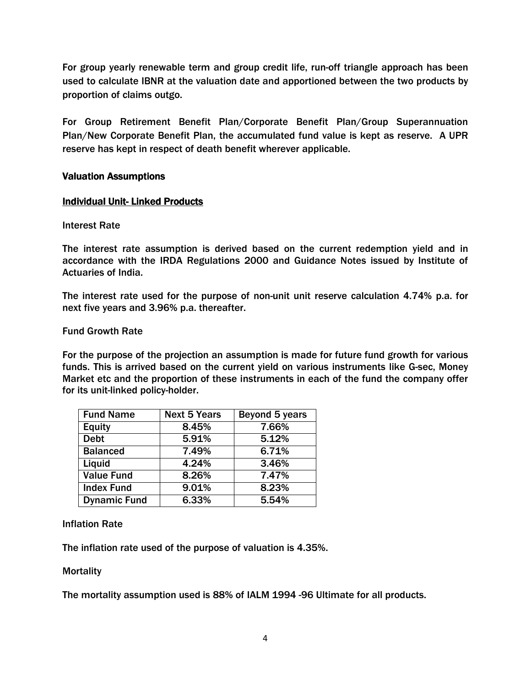For group yearly renewable term and group credit life, run-off triangle approach has been used to calculate IBNR at the valuation date and apportioned between the two products by proportion of claims outgo.

For Group Retirement Benefit Plan/Corporate Benefit Plan/Group Superannuation Plan/New Corporate Benefit Plan, the accumulated fund value is kept as reserve. A UPR reserve has kept in respect of death benefit wherever applicable.

## **Valuation Assumptions**

## **Individual Unit-Linked Products**

## Interest Rate

The interest rate assumption is derived based on the current redemption yield and in accordance with the IRDA Regulations 2000 and Guidance Notes issued by Institute of Actuaries of India.

The interest rate used for the purpose of non-unit unit reserve calculation 4.74% p.a. for next five years and 3.96% p.a. thereafter.

## Fund Growth Rate

For the purpose of the projection an assumption is made for future fund growth for various funds. This is arrived based on the current yield on various instruments like G-sec, Money Market etc and the proportion of these instruments in each of the fund the company offer for its unit-linked policy-holder.

| <b>Fund Name</b>    | <b>Next 5 Years</b> | Beyond 5 years |
|---------------------|---------------------|----------------|
| <b>Equity</b>       | 8.45%               | 7.66%          |
| <b>Debt</b>         | 5.91%               | 5.12%          |
| <b>Balanced</b>     | 7.49%               | 6.71%          |
| Liquid              | 4.24%               | 3.46%          |
| <b>Value Fund</b>   | 8.26%               | 7.47%          |
| <b>Index Fund</b>   | 9.01%               | 8.23%          |
| <b>Dynamic Fund</b> | 6.33%               | 5.54%          |

# Inflation Rate

The inflation rate used of the purpose of valuation is 4.35%.

### **Mortality**

The mortality assumption used is 88% of IALM 1994 -96 Ultimate for all products.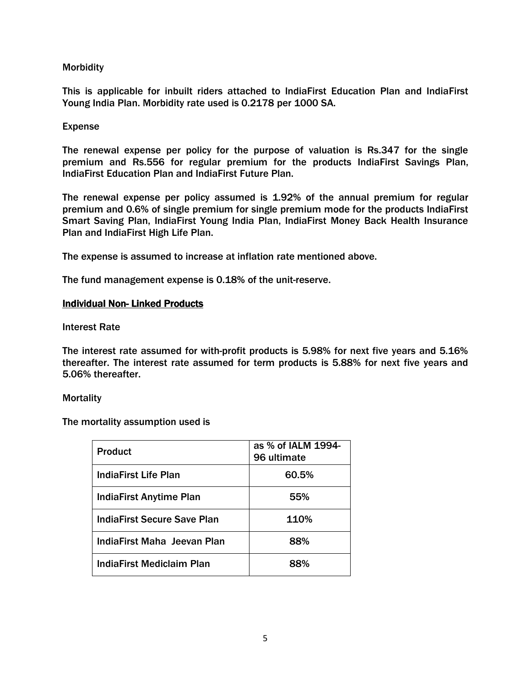# **Morbidity**

This is applicable for inbuilt riders attached to IndiaFirst Education Plan and IndiaFirst Young India Plan. Morbidity rate used is 0.2178 per 1000 SA.

## Expense

The renewal expense per policy for the purpose of valuation is Rs.347 for the single premium and Rs.556 for regular premium for the products IndiaFirst Savings Plan, IndiaFirst Education Plan and IndiaFirst Future Plan.

The renewal expense per policy assumed is 1.92% of the annual premium for regular premium and 0.6% of single premium for single premium mode for the products IndiaFirst Smart Saving Plan, IndiaFirst Young India Plan, IndiaFirst Money Back Health Insurance Plan and IndiaFirst High Life Plan.

The expense is assumed to increase at inflation rate mentioned above.

The fund management expense is 0.18% of the unit-reserve.

## **Individual Non-Linked Products**

Interest Rate

The interest rate assumed for with-profit products is 5.98% for next five years and 5.16% thereafter. The interest rate assumed for term products is 5.88% for next five years and 5.06% thereafter.

### **Mortality**

The mortality assumption used is

| <b>Product</b>                 | as % of IALM 1994-<br>96 ultimate |
|--------------------------------|-----------------------------------|
| <b>IndiaFirst Life Plan</b>    | 60.5%                             |
| <b>IndiaFirst Anytime Plan</b> | 55%                               |
| IndiaFirst Secure Save Plan    | 110%                              |
| IndiaFirst Maha Jeevan Plan    | 88%                               |
| IndiaFirst Mediclaim Plan      | 88%                               |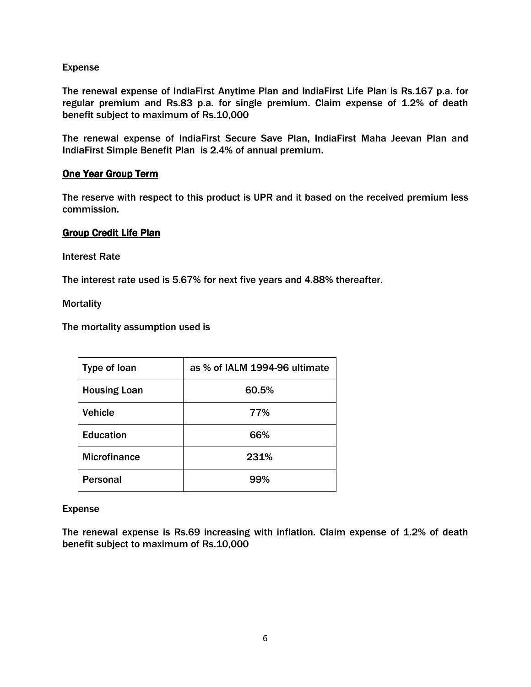# Expense

The renewal expense of IndiaFirst Anytime Plan and IndiaFirst Life Plan is Rs.167 p.a. for regular premium and Rs.83 p.a. for single premium. Claim expense of 1.2% of death benefit subject to maximum of Rs.10,000

The renewal expense of IndiaFirst Secure Save Plan, IndiaFirst Maha Jeevan Plan and IndiaFirst Simple Benefit Plan is 2.4% of annual premium.

## **One Year Group Term**

The reserve with respect to this product is UPR and it based on the received premium less commission.

## **Group Credit Life Plan**

Interest Rate

The interest rate used is 5.67% for next five years and 4.88% thereafter.

**Mortality** 

The mortality assumption used is

| Type of loan        | as % of IALM 1994-96 ultimate |
|---------------------|-------------------------------|
| <b>Housing Loan</b> | 60.5%                         |
| <b>Vehicle</b>      | 77%                           |
| <b>Education</b>    | 66%                           |
| <b>Microfinance</b> | 231%                          |
| <b>Personal</b>     | 99%                           |

### Expense

The renewal expense is Rs.69 increasing with inflation. Claim expense of 1.2% of death benefit subject to maximum of Rs.10,000